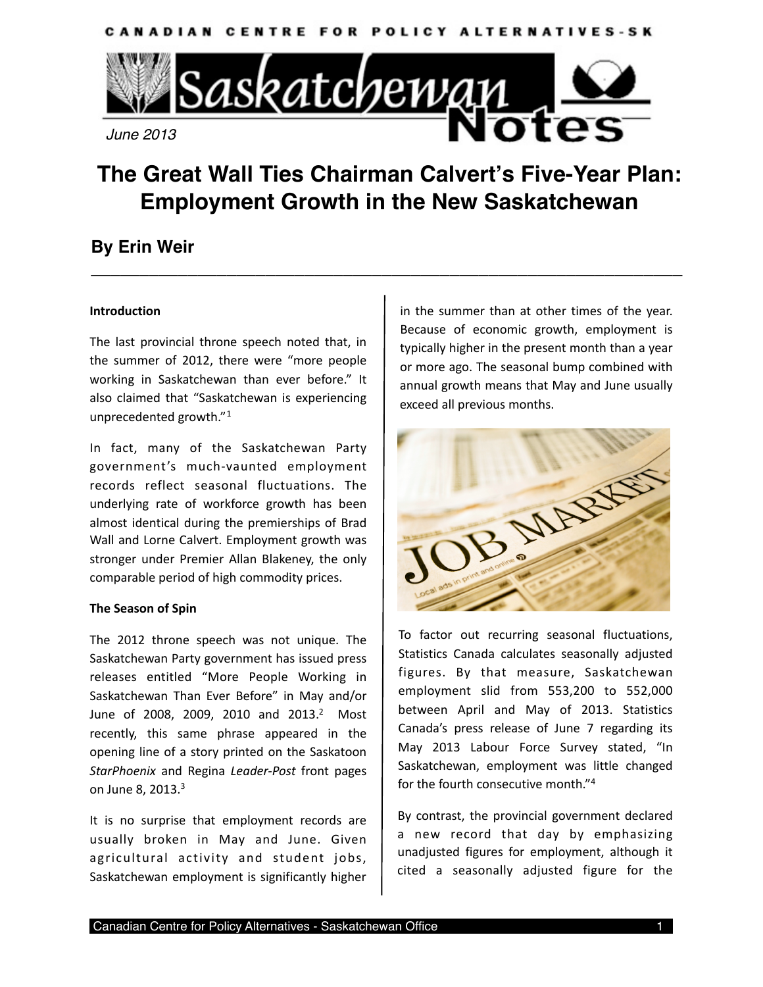

# **The Great Wall Ties Chairman Calvert's Five-Year Plan: Employment Growth in the New Saskatchewan**

**\_\_\_\_\_\_\_\_\_\_\_\_\_\_\_\_\_\_\_\_\_\_\_\_\_\_\_\_\_\_\_\_\_\_\_\_\_\_\_\_\_\_\_\_\_\_\_\_\_\_\_\_\_\_\_\_\_\_\_\_\_**

# **By Erin Weir**

# **Introduction**

The last provincial throne speech noted that, in the summer of 2012, there were "more people working in Saskatchewan than ever before." It also claimed that "Saskatchewan is experiencing unprecedented growth."[1](#page-4-0)

In fact, many of the Saskatchewan Party government's much‐vaunted employment records reflect seasonal fluctuations. The underlying rate of workforce growth has been almost identical during the premierships of Brad Wall and Lorne Calvert. Employment growth was stronger under Premier Allan Blakeney, the only comparable period of high commodity prices.

## **The Season of Spin**

The 2012 throne speech was not unique. The Saskatchewan Party government has issued press releases entitled "More People Working in Saskatchewan Than Ever Before" in May and/or June of 2008, 2009, 2010 and 2013.<sup>2</sup> Most recently, this same phrase appeared in the opening line of a story printed on the Saskatoon *StarPhoenix* and Regina *Leader‐Post* front pages on June 8, 201[3](#page-4-2).<sup>3</sup>

It is no surprise that employment records are usually broken in May and June. Given agricultural activity and student jobs, Saskatchewan employment is significantly higher

in the summer than at other times of the year. Because of economic growth, employment is typically higher in the present month than a year or more ago. The seasonal bump combined with annual growth means that May and June usually exceed all previous months.



To factor out recurring seasonal fluctuations, Statistics Canada calculates seasonally adjusted figures. By that measure, Saskatchewan employment slid from 553,200 to 552,000 between April and May of 2013. Statistics Canada's press release of June 7 regarding its May 2013 Labour Force Survey stated, "In Saskatchewan, employment was little changed for the fourth consecutive month.["4](#page-4-3)

By contrast, the provincial government declared a new record that day by emphasizing unadjusted figures for employment, although it cited a seasonally adjusted figure for the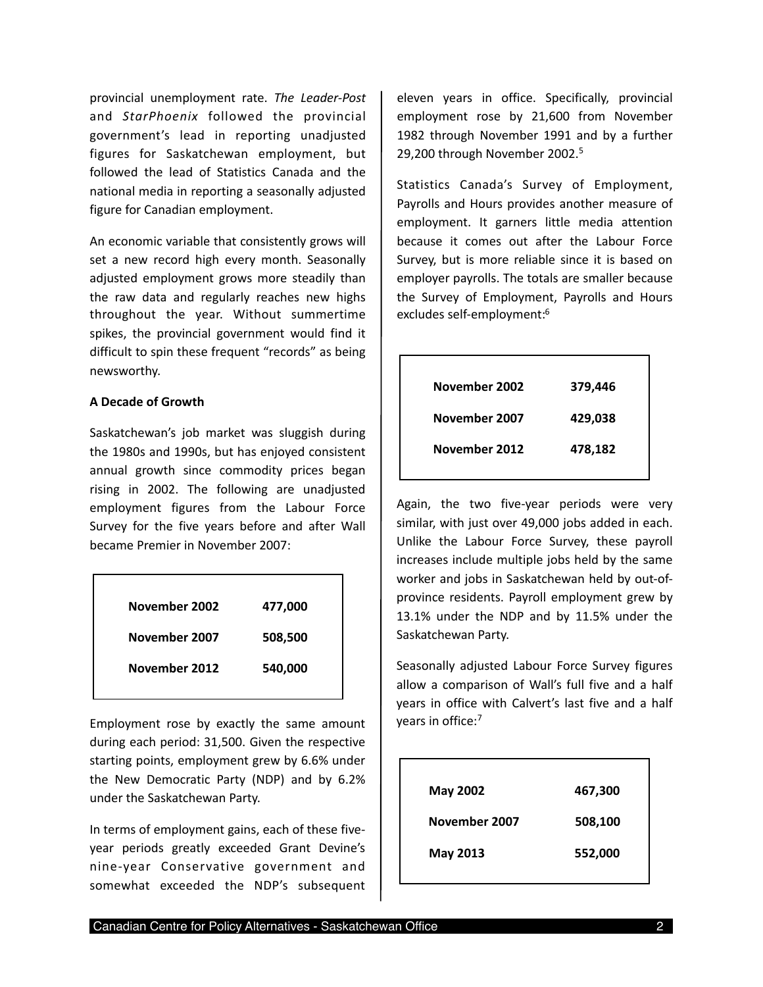provincial unemployment rate. *The Leader‐Post*  and *StarPhoenix*  followed the provincial government's lead in reporting unadjusted figures for Saskatchewan employment, but followed the lead of Statistics Canada and the national media in reporting a seasonally adjusted figure for Canadian employment.

An economic variable that consistently grows will set a new record high every month. Seasonally adjusted employment grows more steadily than the raw data and regularly reaches new highs throughout the year. Without summertime spikes, the provincial government would find it difficult to spin these frequent "records" as being newsworthy.

#### **A Decade of Growth**

Saskatchewan's job market was sluggish during the 1980s and 1990s, but has enjoyed consistent annual growth since commodity prices began rising in 2002. The following are unadjusted employment figures from the Labour Force Survey for the five years before and after Wall became Premier in November 2007:

| November 2002 | 477,000 |
|---------------|---------|
| November 2007 | 508,500 |
| November 2012 | 540,000 |
|               |         |

Employment rose by exactly the same amount during each period: 31,500. Given the respective starting points, employment grew by 6.6% under the New Democratic Party (NDP) and by 6.2% under the Saskatchewan Party.

In terms of employment gains, each of these five‐ year periods greatly exceeded Grant Devine's nine‐year Conservative government and somewhat exceeded the NDP's subsequent eleven years in office. Specifically, provincial employment rose by 21,600 from November 1982 through November 1991 and by a further 29,200 through November 2002.[5](#page-4-4)

Statistics Canada's Survey of Employment, Payrolls and Hours provides another measure of employment. It garners little media attention because it comes out after the Labour Force Survey, but is more reliable since it is based on employer payrolls. The totals are smaller because the Survey of Employment, Payrolls and Hours excludes self‐employment:[6](#page-4-5)

| November 2002 | 379,446 |
|---------------|---------|
| November 2007 | 429,038 |
| November 2012 | 478,182 |
|               |         |

Again, the two five-year periods were very similar, with just over 49,000 jobs added in each. Unlike the Labour Force Survey, these payroll increases include multiple jobs held by the same worker and jobs in Saskatchewan held by out‐of‐ province residents. Payroll employment grew by 13.1% under the NDP and by 11.5% under the Saskatchewan Party.

Seasonally adjusted Labour Force Survey figures allow a comparison of Wall's full five and a half years in office with Calvert's last five and a half years in office[:7](#page-4-6)

| <b>May 2002</b> | 467,300 |
|-----------------|---------|
| November 2007   | 508,100 |
| May 2013        | 552,000 |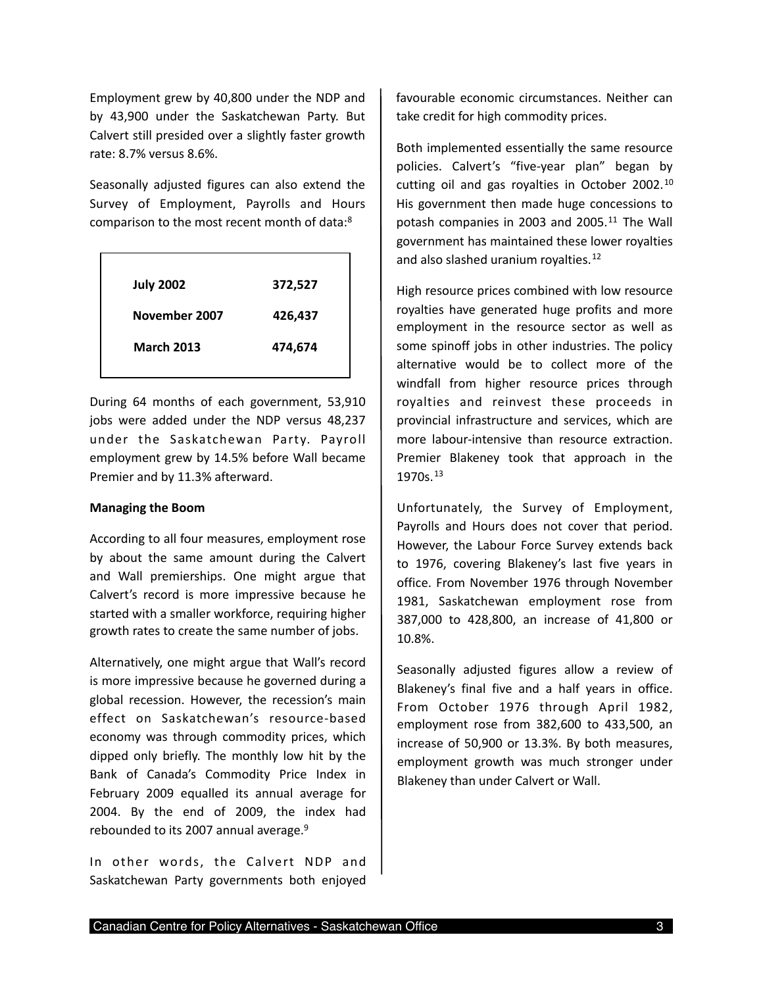Employment grew by 40,800 under the NDP and by 43,900 under the Saskatchewan Party. But Calvert still presided over a slightly faster growth rate: 8.7% versus 8.6%.

Seasonally adjusted figures can also extend the Survey of Employment, Payrolls and Hours comparison to the most recent month of data:[8](#page-4-7)

| <b>July 2002</b>  | 372,527 |
|-------------------|---------|
| November 2007     | 426,437 |
| <b>March 2013</b> | 474,674 |
|                   |         |

During 64 months of each government, 53,910 jobs were added under the NDP versus 48,237 under the Saskatchewan Party. Payroll employment grew by 14.5% before Wall became Premier and by 11.3% afterward.

#### **Managing the Boom**

According to all four measures, employment rose by about the same amount during the Calvert and Wall premierships. One might argue that Calvert's record is more impressive because he started with a smaller workforce, requiring higher growth rates to create the same number of jobs.

Alternatively, one might argue that Wall's record is more impressive because he governed during a global recession. However, the recession's main effect on Saskatchewan's resource‐based economy was through commodity prices, which dipped only briefly. The monthly low hit by the Bank of Canada's Commodity Price Index in February 2009 equalled its annual average for 2004. By the end of 2009, the index had rebounded to its 2007 annual average.<sup>9</sup>

In other words, the Calvert NDP and Saskatchewan Party governments both enjoyed favourable economic circumstances. Neither can take credit for high commodity prices.

Both implemented essentially the same resource policies. Calvert's "five-year plan" began by cutting oil and gas royalties in October 2002.<sup>[10](#page-4-9)</sup> His government then made huge concessions to potash companies in 2003 and 2005.<sup>[11](#page-4-10)</sup> The Wall government has maintained these lower royalties and also slashed uranium royalties.<sup>[12](#page-4-11)</sup>

High resource prices combined with low resource royalties have generated huge profits and more employment in the resource sector as well as some spinoff jobs in other industries. The policy alternative would be to collect more of the windfall from higher resource prices through royalties and reinvest these proceeds in provincial infrastructure and services, which are more labour-intensive than resource extraction. Premier Blakeney took that approach in the 1970s.[13](#page-4-12)

Unfortunately, the Survey of Employment, Payrolls and Hours does not cover that period. However, the Labour Force Survey extends back to 1976, covering Blakeney's last five years in office. From November 1976 through November 1981, Saskatchewan employment rose from 387,000 to 428,800, an increase of 41,800 or 10.8%.

Seasonally adjusted figures allow a review of Blakeney's final five and a half years in office. From October 1976 through April 1982, employment rose from 382,600 to 433,500, an increase of 50,900 or 13.3%. By both measures, employment growth was much stronger under Blakeney than under Calvert or Wall.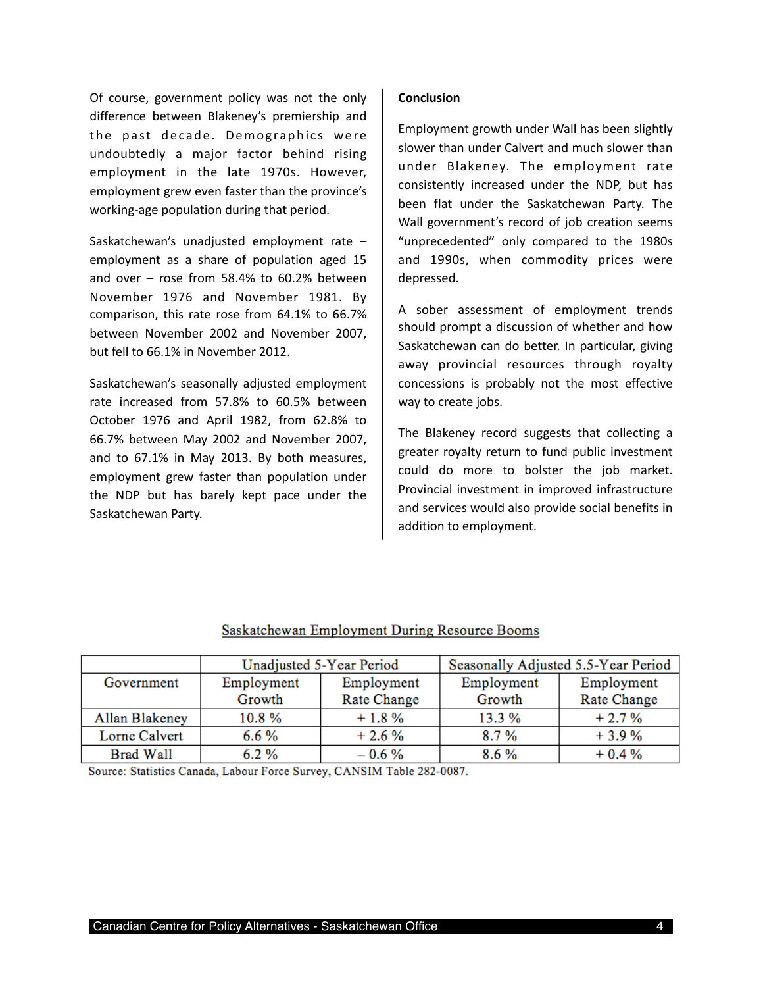Of course, government policy was not the only difference between Blakeney's premiership and the past decade. Demographics were undoubtedly a major factor behind rising employment in the late 1970s. However, employment grew even faster than the province's working‐age population during that period.

Saskatchewan's unadjusted employment rate – employment as a share of population aged 15 and over  $-$  rose from 58.4% to 60.2% between November 1976 and November 1981. By comparison, this rate rose from 64.1% to 66.7% between November 2002 and November 2007, but fell to 66.1% in November 2012.

Saskatchewan's seasonally adjusted employment rate increased from 57.8% to 60.5% between October 1976 and April 1982, from 62.8% to 66.7% between May 2002 and November 2007, and to 67.1% in May 2013. By both measures, employment grew faster than population under the NDP but has barely kept pace under the Saskatchewan Party.

#### **Conclusion**

Employment growth under Wall has been slightly slower than under Calvert and much slower than under Blakeney. The employment rate consistently increased under the NDP, but has been flat under the Saskatchewan Party. The Wall government's record of job creation seems "unprecedented" only compared to the 1980s and 1990s, when commodity prices were depressed.

A sober assessment of employment trends should prompt a discussion of whether and how Saskatchewan can do better. In particular, giving away provincial resources through royalty concessions is probably not the most effective way to create jobs.

The Blakeney record suggests that collecting a greater royalty return to fund public investment could do more to bolster the job market. Provincial investment in improved infrastructure and services would also provide social benefits in addition to employment.

|                  | Unadjusted 5-Year Period |                    | Seasonally Adjusted 5.5-Year Period |             |
|------------------|--------------------------|--------------------|-------------------------------------|-------------|
| Government       | Employment               | Employment         | Employment                          | Employment  |
|                  | Growth                   | <b>Rate Change</b> | Growth                              | Rate Change |
| Allan Blakeney   | 10.8%                    | $+1.8%$            | 13.3 %                              | $+2.7%$     |
| Lorne Calvert    | $6.6\%$                  | $+2.6%$            | 8.7%                                | $+3.9%$     |
| <b>Brad Wall</b> | $6.2\%$                  | $-0.6\%$           | 8.6%                                | $+0.4%$     |

## Saskatchewan Employment During Resource Booms

Source: Statistics Canada, Labour Force Survey, CANSIM Table 282-0087.